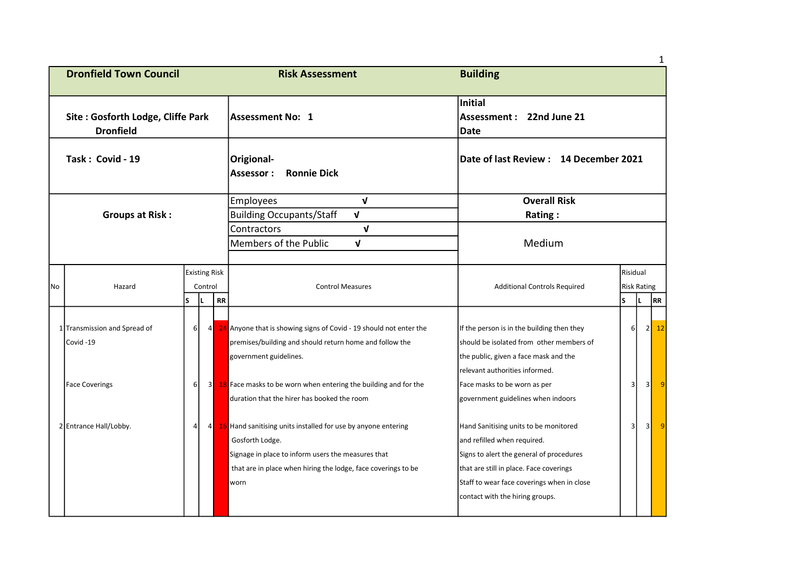| <b>Dronfield Town Council</b> |                                                       |                |                                 |           | <b>Risk Assessment</b>                                                                                                                                                                                          | <b>Building</b>                                                                                                                                                                                                                              |                                |     |           |  |
|-------------------------------|-------------------------------------------------------|----------------|---------------------------------|-----------|-----------------------------------------------------------------------------------------------------------------------------------------------------------------------------------------------------------------|----------------------------------------------------------------------------------------------------------------------------------------------------------------------------------------------------------------------------------------------|--------------------------------|-----|-----------|--|
|                               | Site: Gosforth Lodge, Cliffe Park<br><b>Dronfield</b> |                |                                 |           | Assessment No: 1                                                                                                                                                                                                | Initial<br>Assessment: 22nd June 21<br><b>Date</b>                                                                                                                                                                                           |                                |     |           |  |
| Task: Covid - 19              |                                                       |                |                                 |           | Origional-<br><b>Ronnie Dick</b><br>Assessor:                                                                                                                                                                   | Date of last Review: 14 December 2021                                                                                                                                                                                                        |                                |     |           |  |
|                               |                                                       |                |                                 |           | $\mathbf{V}$<br>Employees                                                                                                                                                                                       | <b>Overall Risk</b>                                                                                                                                                                                                                          |                                |     |           |  |
|                               | <b>Groups at Risk:</b>                                |                |                                 |           | <b>Building Occupants/Staff</b><br>$\mathbf{V}$                                                                                                                                                                 | Rating:                                                                                                                                                                                                                                      |                                |     |           |  |
|                               |                                                       |                |                                 |           | Contractors<br>V<br>Members of the Public<br>V                                                                                                                                                                  | Medium                                                                                                                                                                                                                                       |                                |     |           |  |
| No                            | Hazard                                                |                | <b>Existing Risk</b><br>Control |           | <b>Control Measures</b>                                                                                                                                                                                         | <b>Additional Controls Required</b>                                                                                                                                                                                                          | Risidual<br><b>Risk Rating</b> |     |           |  |
|                               |                                                       | ls.            | İΕ.                             | <b>RR</b> |                                                                                                                                                                                                                 |                                                                                                                                                                                                                                              | ls.                            | IL. | RR        |  |
|                               | 1 Transmission and Spread of<br>Covid-19              | 6              | 4                               |           | 24 Anyone that is showing signs of Covid - 19 should not enter the<br>premises/building and should return home and follow the<br>government guidelines.                                                         | If the person is in the building then they<br>should be isolated from other members of<br>the public, given a face mask and the<br>relevant authorities informed.                                                                            | 6 <sup>1</sup>                 |     | 2<br>12   |  |
|                               | <b>Face Coverings</b>                                 | $6 \mid$       | 3 <sup>1</sup>                  |           | 18 Face masks to be worn when entering the building and for the<br>duration that the hirer has booked the room                                                                                                  | Face masks to be worn as per<br>government guidelines when indoors                                                                                                                                                                           | $\vert$ 3                      |     | 3         |  |
|                               | 2 Entrance Hall/Lobby.                                | $\overline{4}$ | $4\blacksquare$                 |           | 16 Hand sanitising units installed for use by anyone entering<br>Gosforth Lodge.<br>Signage in place to inform users the measures that<br>that are in place when hiring the lodge, face coverings to be<br>worn | Hand Sanitising units to be monitored<br>and refilled when required.<br>Signs to alert the general of procedures<br>that are still in place. Face coverings<br>Staff to wear face coverings when in close<br>contact with the hiring groups. | $\overline{\mathbf{3}}$        |     | $\vert$ 3 |  |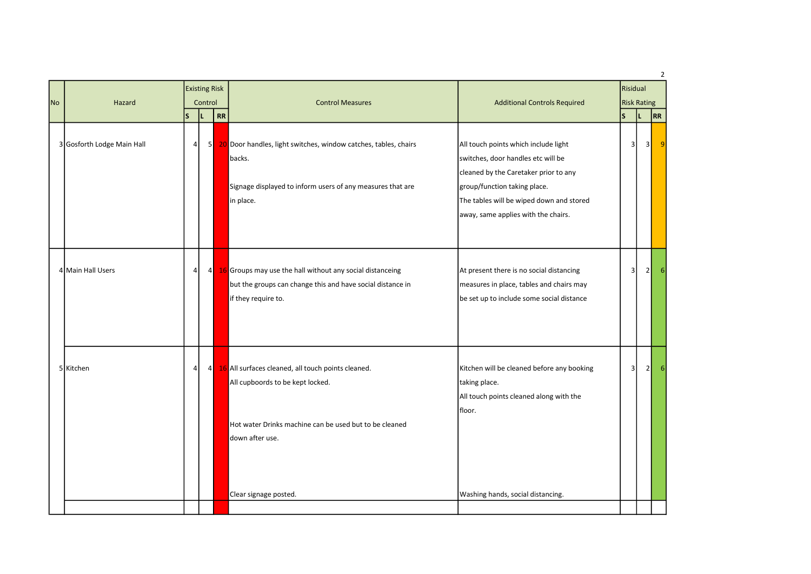| <b>No</b> | Hazard                     |                | <b>Existing Risk</b><br>Control |    |                                                                                                                                                                                              |                                                                                                                                                                                                                                        |                |          |                 |  | <b>Control Measures</b> | <b>Additional Controls Required</b> | Risidual<br><b>Risk Rating</b> |  |  |
|-----------|----------------------------|----------------|---------------------------------|----|----------------------------------------------------------------------------------------------------------------------------------------------------------------------------------------------|----------------------------------------------------------------------------------------------------------------------------------------------------------------------------------------------------------------------------------------|----------------|----------|-----------------|--|-------------------------|-------------------------------------|--------------------------------|--|--|
|           |                            | <b>S</b>       | L                               | RR |                                                                                                                                                                                              |                                                                                                                                                                                                                                        | $\mathsf{s}$   | IL.      | RR              |  |                         |                                     |                                |  |  |
|           | 3 Gosforth Lodge Main Hall | $\overline{4}$ | 5 <sub>l</sub>                  |    | 20 Door handles, light switches, window catches, tables, chairs<br>backs.<br>Signage displayed to inform users of any measures that are<br>in place.                                         | All touch points which include light<br>switches, door handles etc will be<br>cleaned by the Caretaker prior to any<br>group/function taking place.<br>The tables will be wiped down and stored<br>away, same applies with the chairs. | 3              | 3        | $\vert 9 \vert$ |  |                         |                                     |                                |  |  |
|           | 4 Main Hall Users          | $\overline{4}$ | 4                               |    | 16 Groups may use the hall without any social distanceing<br>but the groups can change this and have social distance in<br>if they require to.                                               | At present there is no social distancing<br>measures in place, tables and chairs may<br>be set up to include some social distance                                                                                                      | $\overline{3}$ | $2\vert$ | 6 <sup>1</sup>  |  |                         |                                     |                                |  |  |
|           | 5 Kitchen                  | $\overline{4}$ | 4                               |    | 16 All surfaces cleaned, all touch points cleaned.<br>All cupboords to be kept locked.<br>Hot water Drinks machine can be used but to be cleaned<br>down after use.<br>Clear signage posted. | Kitchen will be cleaned before any booking<br>taking place.<br>All touch points cleaned along with the<br>floor.<br>Washing hands, social distancing.                                                                                  | 3              | 2        | 61              |  |                         |                                     |                                |  |  |
|           |                            |                |                                 |    |                                                                                                                                                                                              |                                                                                                                                                                                                                                        |                |          |                 |  |                         |                                     |                                |  |  |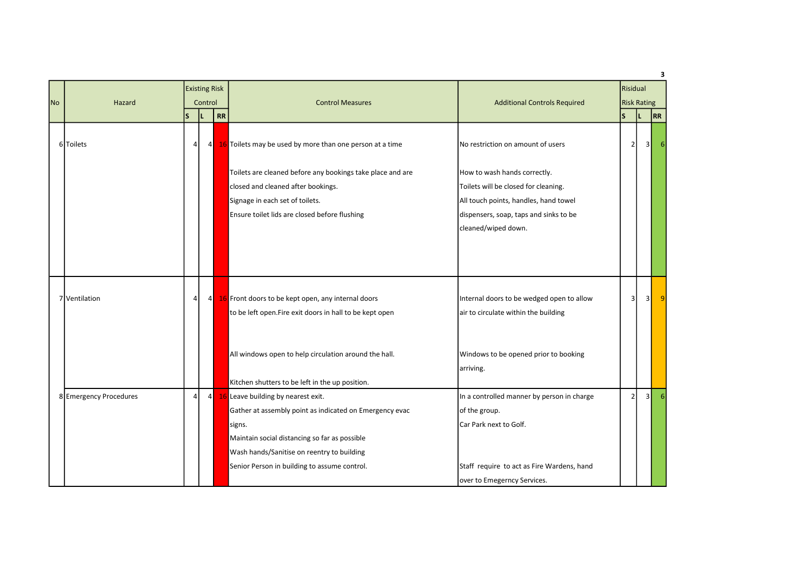|           |                        |                |         | <b>Existing Risk</b> |                                                            |                                            | Risidual                |     | 3  |
|-----------|------------------------|----------------|---------|----------------------|------------------------------------------------------------|--------------------------------------------|-------------------------|-----|----|
| <b>No</b> | Hazard                 |                | Control |                      | <b>Control Measures</b>                                    | <b>Additional Controls Required</b>        | <b>Risk Rating</b>      |     |    |
|           |                        | ls.            | L       | <b>RR</b>            |                                                            |                                            | $\overline{\mathsf{s}}$ | IL. | RR |
|           | 6 Toilets              | $\overline{4}$ |         | 4                    | 16 Toilets may be used by more than one person at a time   | No restriction on amount of users          | $\overline{2}$          | 3   |    |
|           |                        |                |         |                      | Toilets are cleaned before any bookings take place and are | How to wash hands correctly.               |                         |     |    |
|           |                        |                |         |                      | closed and cleaned after bookings.                         | Toilets will be closed for cleaning.       |                         |     |    |
|           |                        |                |         |                      | Signage in each set of toilets.                            | All touch points, handles, hand towel      |                         |     |    |
|           |                        |                |         |                      | Ensure toilet lids are closed before flushing              | dispensers, soap, taps and sinks to be     |                         |     |    |
|           |                        |                |         |                      |                                                            | cleaned/wiped down.                        |                         |     |    |
|           |                        |                |         |                      |                                                            |                                            |                         |     |    |
|           |                        |                |         |                      |                                                            |                                            |                         |     |    |
|           |                        |                |         |                      |                                                            |                                            |                         |     |    |
|           |                        |                |         |                      |                                                            |                                            |                         |     |    |
|           | 7 Ventilation          | 4              |         | $4\blacksquare$      | 16 Front doors to be kept open, any internal doors         | Internal doors to be wedged open to allow  | $\overline{3}$          | 3   | 9  |
|           |                        |                |         |                      | to be left open.Fire exit doors in hall to be kept open    | air to circulate within the building       |                         |     |    |
|           |                        |                |         |                      |                                                            |                                            |                         |     |    |
|           |                        |                |         |                      | All windows open to help circulation around the hall.      | Windows to be opened prior to booking      |                         |     |    |
|           |                        |                |         |                      |                                                            | arriving.                                  |                         |     |    |
|           |                        |                |         |                      | Kitchen shutters to be left in the up position.            |                                            |                         |     |    |
|           | 8 Emergency Procedures | 4              |         | 4                    | 16 Leave building by nearest exit.                         | In a controlled manner by person in charge | 2                       | 31  |    |
|           |                        |                |         |                      | Gather at assembly point as indicated on Emergency evac    | of the group.                              |                         |     |    |
|           |                        |                |         |                      | signs.                                                     | Car Park next to Golf.                     |                         |     |    |
|           |                        |                |         |                      | Maintain social distancing so far as possible              |                                            |                         |     |    |
|           |                        |                |         |                      | Wash hands/Sanitise on reentry to building                 |                                            |                         |     |    |
|           |                        |                |         |                      | Senior Person in building to assume control.               | Staff require to act as Fire Wardens, hand |                         |     |    |
|           |                        |                |         |                      |                                                            | over to Emegerncy Services.                |                         |     |    |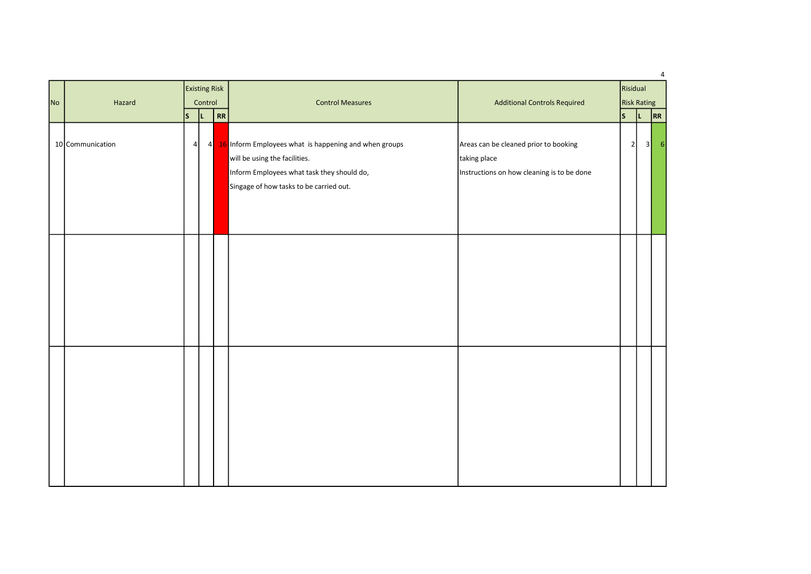|           |                  |    | <b>Existing Risk</b><br>Control |                        |                                                                                                                                                                                   |                                                                                                     | Risidual                                                                         | 4 |
|-----------|------------------|----|---------------------------------|------------------------|-----------------------------------------------------------------------------------------------------------------------------------------------------------------------------------|-----------------------------------------------------------------------------------------------------|----------------------------------------------------------------------------------|---|
| <b>No</b> | Hazard           | ls | ΙL                              | $\overline{\text{RR}}$ | <b>Control Measures</b>                                                                                                                                                           | <b>Additional Controls Required</b>                                                                 | <b>Risk Rating</b><br> s <br>$\overline{RR}$<br> L <br>2<br>3 <br>6 <sup>1</sup> |   |
|           | 10 Communication | 4  |                                 |                        | 4 16 Inform Employees what is happening and when groups<br>will be using the facilities.<br>Inform Employees what task they should do,<br>Singage of how tasks to be carried out. | Areas can be cleaned prior to booking<br>taking place<br>Instructions on how cleaning is to be done |                                                                                  |   |
|           |                  |    |                                 |                        |                                                                                                                                                                                   |                                                                                                     |                                                                                  |   |
|           |                  |    |                                 |                        |                                                                                                                                                                                   |                                                                                                     |                                                                                  |   |